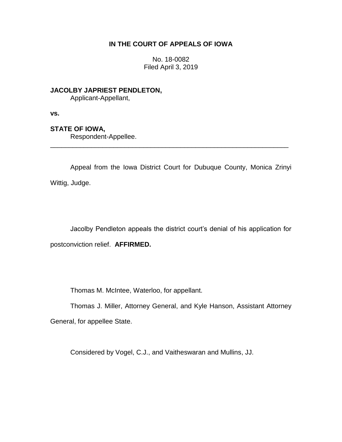### **IN THE COURT OF APPEALS OF IOWA**

No. 18-0082 Filed April 3, 2019

**JACOLBY JAPRIEST PENDLETON,**

Applicant-Appellant,

**vs.**

# **STATE OF IOWA,**

Respondent-Appellee.

Appeal from the Iowa District Court for Dubuque County, Monica Zrinyi Wittig, Judge.

\_\_\_\_\_\_\_\_\_\_\_\_\_\_\_\_\_\_\_\_\_\_\_\_\_\_\_\_\_\_\_\_\_\_\_\_\_\_\_\_\_\_\_\_\_\_\_\_\_\_\_\_\_\_\_\_\_\_\_\_\_\_\_\_

Jacolby Pendleton appeals the district court's denial of his application for postconviction relief. **AFFIRMED.**

Thomas M. McIntee, Waterloo, for appellant.

Thomas J. Miller, Attorney General, and Kyle Hanson, Assistant Attorney General, for appellee State.

Considered by Vogel, C.J., and Vaitheswaran and Mullins, JJ.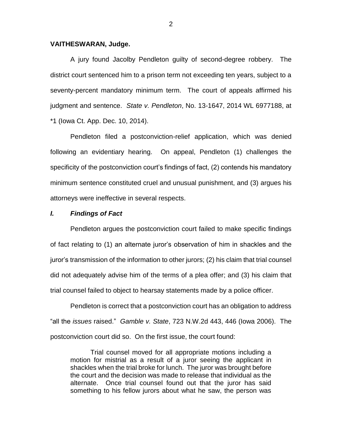#### **VAITHESWARAN, Judge.**

A jury found Jacolby Pendleton guilty of second-degree robbery. The district court sentenced him to a prison term not exceeding ten years, subject to a seventy-percent mandatory minimum term. The court of appeals affirmed his judgment and sentence. *State v. Pendleton*, No. 13-1647, 2014 WL 6977188, at \*1 (Iowa Ct. App. Dec. 10, 2014).

Pendleton filed a postconviction-relief application, which was denied following an evidentiary hearing. On appeal, Pendleton (1) challenges the specificity of the postconviction court's findings of fact, (2) contends his mandatory minimum sentence constituted cruel and unusual punishment, and (3) argues his attorneys were ineffective in several respects.

#### *I. Findings of Fact*

Pendleton argues the postconviction court failed to make specific findings of fact relating to (1) an alternate juror's observation of him in shackles and the juror's transmission of the information to other jurors; (2) his claim that trial counsel did not adequately advise him of the terms of a plea offer; and (3) his claim that trial counsel failed to object to hearsay statements made by a police officer.

Pendleton is correct that a postconviction court has an obligation to address "all the *issues* raised." *Gamble v. State*, 723 N.W.2d 443, 446 (Iowa 2006). The postconviction court did so. On the first issue, the court found:

Trial counsel moved for all appropriate motions including a motion for mistrial as a result of a juror seeing the applicant in shackles when the trial broke for lunch. The juror was brought before the court and the decision was made to release that individual as the alternate. Once trial counsel found out that the juror has said something to his fellow jurors about what he saw, the person was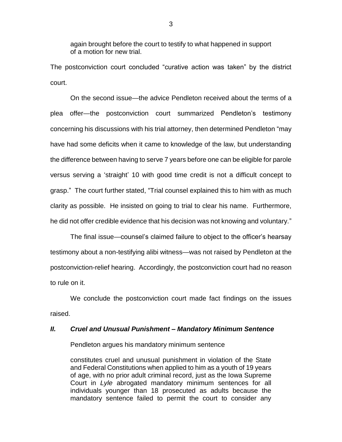again brought before the court to testify to what happened in support of a motion for new trial.

The postconviction court concluded "curative action was taken" by the district court.

On the second issue—the advice Pendleton received about the terms of a plea offer—the postconviction court summarized Pendleton's testimony concerning his discussions with his trial attorney, then determined Pendleton "may have had some deficits when it came to knowledge of the law, but understanding the difference between having to serve 7 years before one can be eligible for parole versus serving a 'straight' 10 with good time credit is not a difficult concept to grasp." The court further stated, "Trial counsel explained this to him with as much clarity as possible. He insisted on going to trial to clear his name. Furthermore, he did not offer credible evidence that his decision was not knowing and voluntary."

The final issue—counsel's claimed failure to object to the officer's hearsay testimony about a non-testifying alibi witness—was not raised by Pendleton at the postconviction-relief hearing. Accordingly, the postconviction court had no reason to rule on it.

We conclude the postconviction court made fact findings on the issues raised.

### *II. Cruel and Unusual Punishment – Mandatory Minimum Sentence*

Pendleton argues his mandatory minimum sentence

constitutes cruel and unusual punishment in violation of the State and Federal Constitutions when applied to him as a youth of 19 years of age, with no prior adult criminal record, just as the Iowa Supreme Court in *Lyle* abrogated mandatory minimum sentences for all individuals younger than 18 prosecuted as adults because the mandatory sentence failed to permit the court to consider any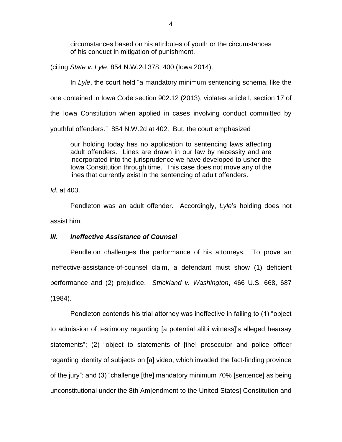circumstances based on his attributes of youth or the circumstances of his conduct in mitigation of punishment.

(citing *State v. Lyle*, 854 N.W.2d 378, 400 (Iowa 2014).

In *Lyle*, the court held "a mandatory minimum sentencing schema, like the one contained in Iowa Code section 902.12 (2013), violates article I, section 17 of the Iowa Constitution when applied in cases involving conduct committed by youthful offenders." 854 N.W.2d at 402. But, the court emphasized

our holding today has no application to sentencing laws affecting adult offenders. Lines are drawn in our law by necessity and are incorporated into the jurisprudence we have developed to usher the Iowa Constitution through time. This case does not move any of the lines that currently exist in the sentencing of adult offenders.

*Id.* at 403.

Pendleton was an adult offender. Accordingly, *Lyle*'s holding does not assist him.

# *III. Ineffective Assistance of Counsel*

Pendleton challenges the performance of his attorneys. To prove an ineffective-assistance-of-counsel claim, a defendant must show (1) deficient performance and (2) prejudice. *Strickland v. Washington*, 466 U.S. 668, 687 (1984).

Pendleton contends his trial attorney was ineffective in failing to (1) "object to admission of testimony regarding [a potential alibi witness]'s alleged hearsay statements"; (2) "object to statements of [the] prosecutor and police officer regarding identity of subjects on [a] video, which invaded the fact-finding province of the jury"; and (3) "challenge [the] mandatory minimum 70% [sentence] as being unconstitutional under the 8th Am[endment to the United States] Constitution and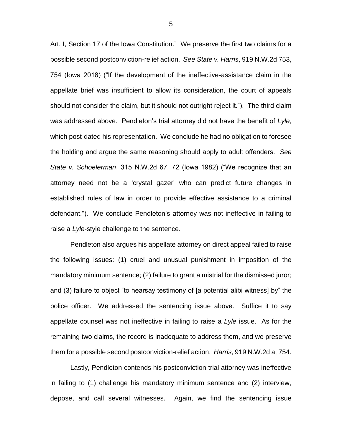Art. I, Section 17 of the Iowa Constitution." We preserve the first two claims for a possible second postconviction-relief action. *See State v. Harris*, 919 N.W.2d 753, 754 (Iowa 2018) ("If the development of the ineffective-assistance claim in the appellate brief was insufficient to allow its consideration, the court of appeals should not consider the claim, but it should not outright reject it."). The third claim was addressed above. Pendleton's trial attorney did not have the benefit of *Lyle*, which post-dated his representation. We conclude he had no obligation to foresee the holding and argue the same reasoning should apply to adult offenders. *See State v. Schoelerman*, 315 N.W.2d 67, 72 (Iowa 1982) ("We recognize that an attorney need not be a 'crystal gazer' who can predict future changes in established rules of law in order to provide effective assistance to a criminal defendant."). We conclude Pendleton's attorney was not ineffective in failing to raise a *Lyle*-style challenge to the sentence.

Pendleton also argues his appellate attorney on direct appeal failed to raise the following issues: (1) cruel and unusual punishment in imposition of the mandatory minimum sentence; (2) failure to grant a mistrial for the dismissed juror; and (3) failure to object "to hearsay testimony of [a potential alibi witness] by" the police officer. We addressed the sentencing issue above. Suffice it to say appellate counsel was not ineffective in failing to raise a *Lyle* issue. As for the remaining two claims, the record is inadequate to address them, and we preserve them for a possible second postconviction-relief action. *Harris*, 919 N.W.2d at 754.

Lastly, Pendleton contends his postconviction trial attorney was ineffective in failing to (1) challenge his mandatory minimum sentence and (2) interview, depose, and call several witnesses. Again, we find the sentencing issue

5